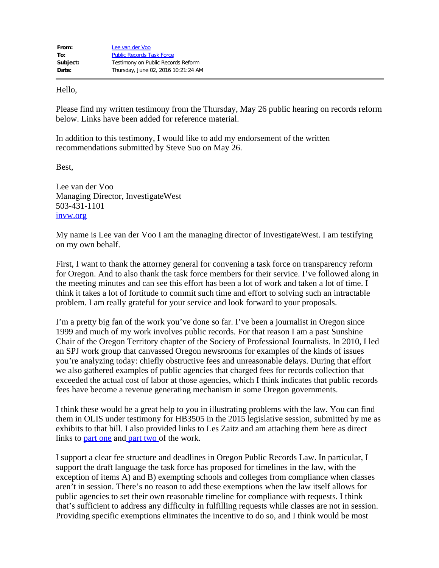Hello,

Please find my written testimony from the Thursday, May 26 public hearing on records reform below. Links have been added for reference material.

In addition to this testimony, I would like to add my endorsement of the written recommendations submitted by Steve Suo on May 26.

Best,

Lee van der Voo Managing Director, InvestigateWest 503-431-1101 [invw.org](http://invw.org/)

My name is Lee van der Voo I am the managing director of InvestigateWest. I am testifying on my own behalf.

First, I want to thank the attorney general for convening a task force on transparency reform for Oregon. And to also thank the task force members for their service. I've followed along in the meeting minutes and can see this effort has been a lot of work and taken a lot of time. I think it takes a lot of fortitude to commit such time and effort to solving such an intractable problem. I am really grateful for your service and look forward to your proposals.

I'm a pretty big fan of the work you've done so far. I've been a journalist in Oregon since 1999 and much of my work involves public records. For that reason I am a past Sunshine Chair of the Oregon Territory chapter of the Society of Professional Journalists. In 2010, I led an SPJ work group that canvassed Oregon newsrooms for examples of the kinds of issues you're analyzing today: chiefly obstructive fees and unreasonable delays. During that effort we also gathered examples of public agencies that charged fees for records collection that exceeded the actual cost of labor at those agencies, which I think indicates that public records fees have become a revenue generating mechanism in some Oregon governments.

I think these would be a great help to you in illustrating problems with the law. You can find them in OLIS under testimony for HB3505 in the 2015 legislative session, submitted by me as exhibits to that bill. I also provided links to Les Zaitz and am attaching them here as direct links to [part one](https://olis.leg.state.or.us/liz/2015R1/Downloads/CommitteeMeetingDocument/68773) and [part two](https://olis.leg.state.or.us/liz/2015R1/Downloads/CommitteeMeetingDocument/68774) of the work.

I support a clear fee structure and deadlines in Oregon Public Records Law. In particular, I support the draft language the task force has proposed for timelines in the law, with the exception of items A) and B) exempting schools and colleges from compliance when classes aren't in session. There's no reason to add these exemptions when the law itself allows for public agencies to set their own reasonable timeline for compliance with requests. I think that's sufficient to address any difficulty in fulfilling requests while classes are not in session. Providing specific exemptions eliminates the incentive to do so, and I think would be most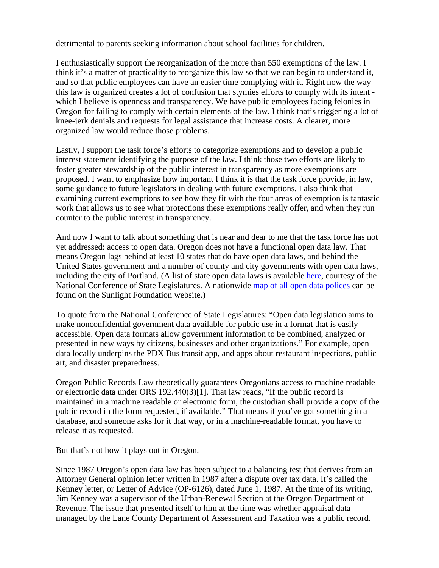detrimental to parents seeking information about school facilities for children.

I enthusiastically support the reorganization of the more than 550 exemptions of the law. I think it's a matter of practicality to reorganize this law so that we can begin to understand it, and so that public employees can have an easier time complying with it. Right now the way this law is organized creates a lot of confusion that stymies efforts to comply with its intent which I believe is openness and transparency. We have public employees facing felonies in Oregon for failing to comply with certain elements of the law. I think that's triggering a lot of knee-jerk denials and requests for legal assistance that increase costs. A clearer, more organized law would reduce those problems.

Lastly, I support the task force's efforts to categorize exemptions and to develop a public interest statement identifying the purpose of the law. I think those two efforts are likely to foster greater stewardship of the public interest in transparency as more exemptions are proposed. I want to emphasize how important I think it is that the task force provide, in law, some guidance to future legislators in dealing with future exemptions. I also think that examining current exemptions to see how they fit with the four areas of exemption is fantastic work that allows us to see what protections these exemptions really offer, and when they run counter to the public interest in transparency.

And now I want to talk about something that is near and dear to me that the task force has not yet addressed: access to open data. Oregon does not have a functional open data law. That means Oregon lags behind at least 10 states that do have open data laws, and behind the United States government and a number of county and city governments with open data laws, including the city of Portland. (A list of state open data laws is available [here](http://www.ncsl.org/research/telecommunications-and-information-technology/open-data-legislation.aspx), courtesy of the National Conference of State Legislatures. A nationwide [map of all open data polices](https://sunlightfoundation.com/policy/opendatamap/) can be found on the Sunlight Foundation website.)

To quote from the National Conference of State Legislatures: "Open data legislation aims to make nonconfidential government data available for public use in a format that is easily accessible. Open data formats allow government information to be combined, analyzed or presented in new ways by citizens, businesses and other organizations." For example, open data locally underpins the PDX Bus transit app, and apps about restaurant inspections, public art, and disaster preparedness.

Oregon Public Records Law theoretically guarantees Oregonians access to machine readable or electronic data under ORS 192.440(3)[1]. That law reads, "If the public record is maintained in a machine readable or electronic form, the custodian shall provide a copy of the public record in the form requested, if available." That means if you've got something in a database, and someone asks for it that way, or in a machine-readable format, you have to release it as requested.

But that's not how it plays out in Oregon.

Since 1987 Oregon's open data law has been subject to a balancing test that derives from an Attorney General opinion letter written in 1987 after a dispute over tax data. It's called the Kenney letter, or Letter of Advice (OP-6126), dated June 1, 1987. At the time of its writing, Jim Kenney was a supervisor of the Urban-Renewal Section at the Oregon Department of Revenue. The issue that presented itself to him at the time was whether appraisal data managed by the Lane County Department of Assessment and Taxation was a public record.